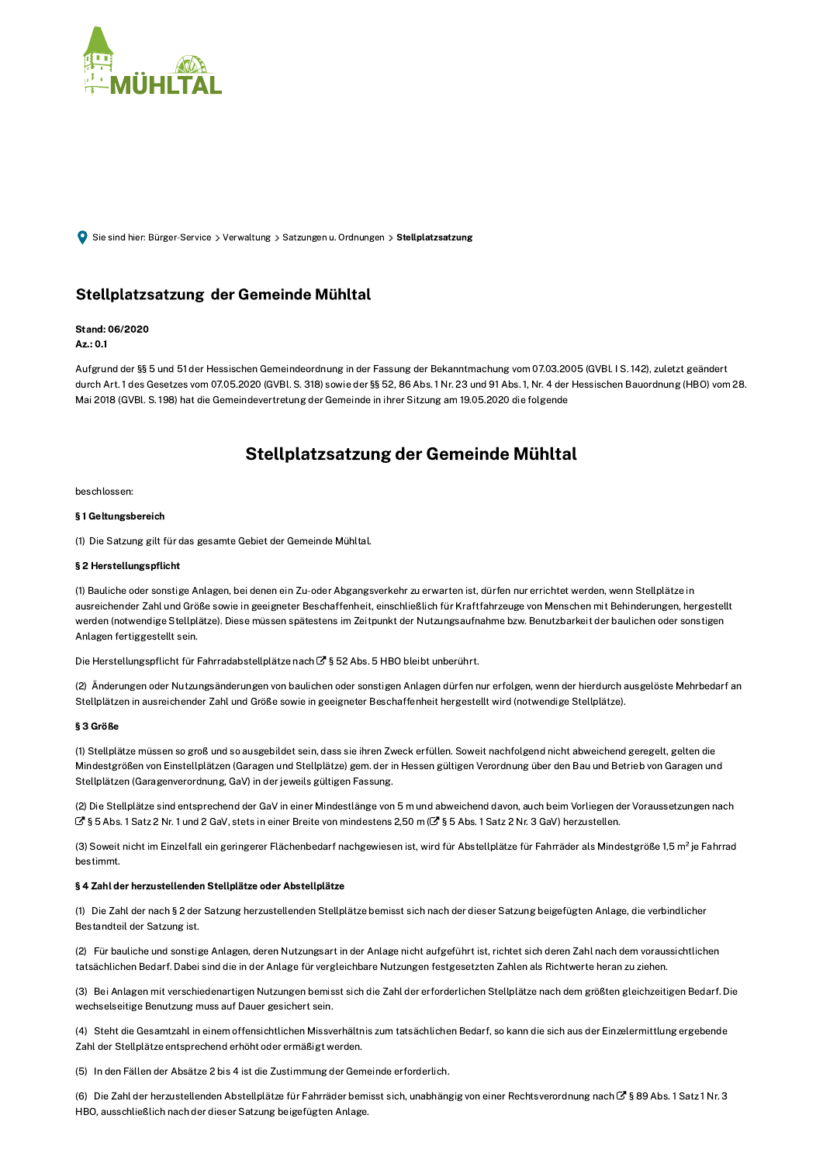

Sie sind hier: Bürger-Service > Verwaltung > Satzungen u. Ordnungen > Stellplatzsatzung

## Stellplatzsatzung der Gemeinde Mühltal

## Stand: 06/2020

Az.: 0.1

Aufgrund der §§ 5 und 51 der Hessischen Gemeindeordnung in der Fassung der Bekanntmachung vom 07.03.2005 (GVBL IS. 142), zuletzt geändert durch Art. 1 des Gesetzes vom 07.05.2020 (GVBl. S. 318) sowie der §§ 52, 86 Abs. 1 Nr. 23 und 91 Abs. 1, Nr. 4 der Hessischen Bauordnung (HBO) vom 28. Mai 2018 (GVBl. S. 198) hat die Gemeindevertretung der Gemeinde in ihrer Sitzung am 19.05.2020 die folgende

# Stellplatzsatzung der Gemeinde Mühltal

beschlossen:

## §1 Geltungsbereich

(1) Die Satzung gilt für das gesamte Gebiet der Gemeinde Mühltal.

## § 2 Herstellungspflicht

(1) Bauliche oder sonstige Anlagen, bei denen ein Zu-oder Abgangsverkehr zu erwarten ist, dürfen nur errichtet werden, wenn Stellplätze in ausreichender Zahl und Größe sowie in geeigneter Beschaffenheit, einschließlich für Kraftfahrzeuge von Menschen mit Behinderungen, hergestellt werden (notwendige Stellplätze). Diese müssen spätestens im Zeitpunkt der Nutzungsaufnahme bzw. Benutzbarkeit der baulichen oder sonstigen Anlagen fertiggestellt sein.

Die Herstellungspflicht für Fahrradabstellplätze nach G § 52 Abs. 5 HBO bleibt unberührt.

(2) Änderungen oder Nutzungsänderungen von baulichen oder sonstigen Anlagen dürfen nur erfolgen, wenn der hierdurch ausgelöste Mehrbedarf an Stellplätzen in ausreichender Zahl und Größe sowie in geeigneter Beschaffenheit hergestellt wird (notwendige Stellplätze).

## § 3 Größe

(1) Stellplätze müssen so groß und so ausgebildet sein, dass sie ihren Zweck erfüllen. Soweit nachfolgend nicht abweichend geregelt, gelten die Mindestgrößen von Einstellplätzen (Garagen und Stellplätze) gem. der in Hessen gültigen Verordnung über den Bau und Betrieb von Garagen und Stellplätzen (Garagenverordnung, GaV) in der jeweils gültigen Fassung.

(2) Die Stellplätze sind entsprechend der GaV in einer Mindestlänge von 5 m und abweichend davon, auch beim Vorliegen der Voraussetzungen nach C' § 5 Abs. 1 Satz 2 Nr. 1 und 2 GaV, stets in einer Breite von mindestens 2,50 m (C' § 5 Abs. 1 Satz 2 Nr. 3 GaV) herzustellen.

(3) Soweit nicht im Einzelfall ein geringerer Flächenbedarf nachgewiesen ist, wird für Abstellplätze für Fahrräder als Mindestgröße 1,5 m<sup>2</sup> je Fahrrad hestimmt.

#### § 4 Zahl der herzustellenden Stellplätze oder Abstellplätze

(1) Die Zahl der nach § 2 der Satzung herzustellenden Stellplätze bemisst sich nach der dieser Satzung beigefügten Anlage, die verbindlicher Bestandteil der Satzung ist.

(2) Für bauliche und sonstige Anlagen, deren Nutzungsart in der Anlage nicht aufgeführt ist, richtet sich deren Zahl nach dem voraussichtlichen tatsächlichen Bedarf. Dabei sind die in der Anlage für vergleichbare Nutzungen festgesetzten Zahlen als Richtwerte heran zu ziehen.

(3) Bei Anlagen mit verschiedenartigen Nutzungen bemisst sich die Zahl der erforderlichen Stellplätze nach dem größten gleichzeitigen Bedarf. Die wechselseitige Benutzung muss auf Dauer gesichert sein.

(4) Steht die Gesamtzahl in einem offensichtlichen Missverhältnis zum tatsächlichen Bedarf, so kann die sich aus der Einzelermittlung ergebende Zahl der Stellplätze entsprechend erhöht oder ermäßigt werden.

(5) In den Fällen der Absätze 2 bis 4 ist die Zustimmung der Gemeinde erforderlich.

(6) Die Zahl der herzustellenden Abstellplätze für Fahrräder bemisst sich, unabhängig von einer Rechtsverordnung nach C'S 89 Abs. 1 Satz 1 Nr. 3 HBO, ausschließlich nach der dieser Satzung beigefügten Anlage.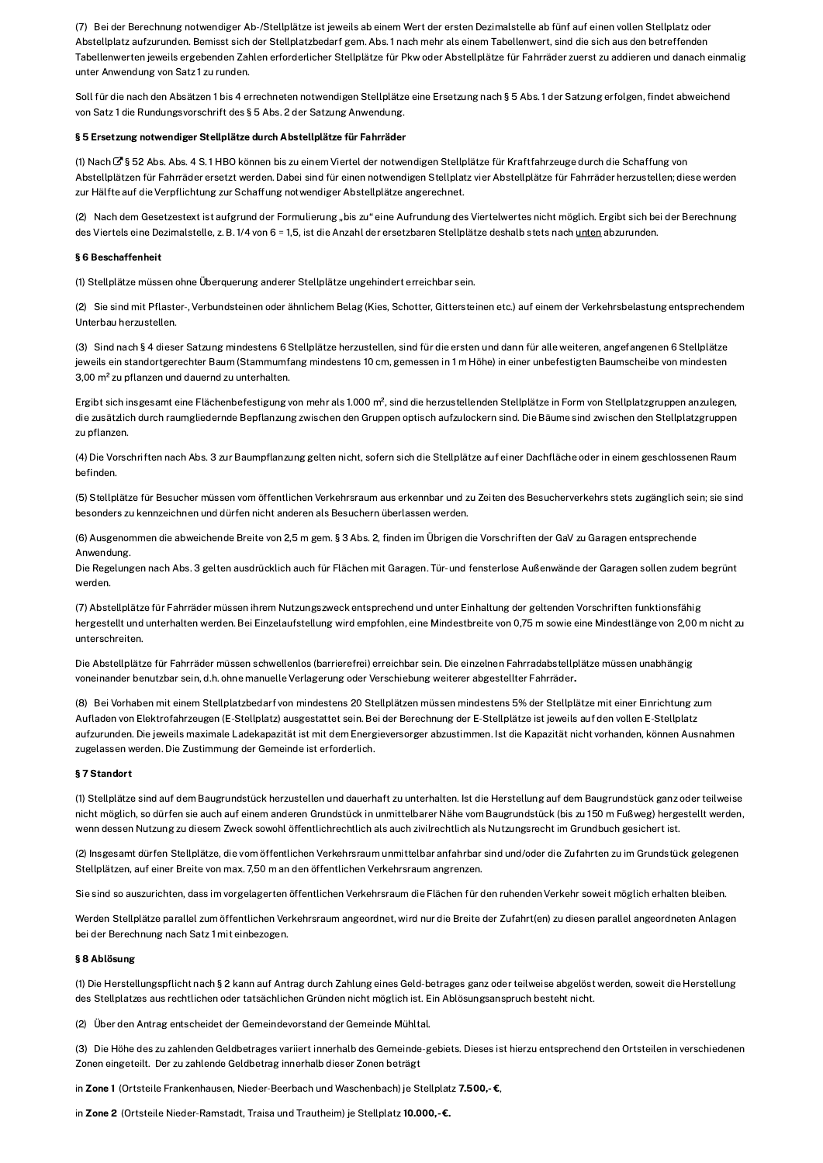(7) Bei der Berechnung notwendiger Ab-/Stellplätze ist jeweils ab einem Wert der ersten Dezimalstelle ab fünf auf einen vollen Stellplatz oder Abstellplatz aufzurunden. Bemisst sich der Stellplatzbedarf gem. Abs. 1 nach mehr als einem Tabellenwert, sind die sich aus den betreffenden Tabellenwerten jeweils ergebenden Zahlen erforderlicher Stellplätze für Pkw oder Abstellplätze für Fahrräder zuerst zu addieren und danach einmalig unter Anwendung von Satz 1 zu runden.

Soll für die nach den Absätzen 1 bis 4 errechneten notwendigen Stellplätze eine Ersetzung nach § 5 Abs. 1 der Satzung erfolgen, findet abweichend von Satz 1 die Rundungsvorschrift des § 5 Abs. 2 der Satzung Anwendung.

#### § 5 Ersetzung notwendiger Stellplätze durch Abstellplätze für Fahrräder

(1) Nach C § 52 Abs. Abs. 4 S. 1 HBO können bis zu einem Viertel der notwendigen Stellplätze für Kraftfahrzeuge durch die Schaffung von Abstellplätzen für Fahrräder ersetzt werden. Dabei sind für einen notwendigen Stellplatz vier Abstellplätze für Fahrräder herzustellen; diese werden zur Hälfte auf die Verpflichtung zur Schaffung notwendiger Abstellplätze angerechnet.

(2) Nach dem Gesetzestext ist aufgrund der Formulierung "bis zu" eine Aufrundung des Viertelwertes nicht möglich. Ergibt sich bei der Berechnung des Viertels eine Dezimalstelle, z. B. 1/4 von 6 = 1,5, ist die Anzahl der ersetzbaren Stellplätze deshalb stets nach unten abzurunden.

#### **86 Reschaffenheit**

(1) Stellplätze müssen ohne Überguerung anderer Stellplätze ungehindert erreichbar sein.

(2) Sie sind mit Pflaster-, Verbundsteinen oder ähnlichem Belag (Kies, Schotter, Gittersteinen etc.) auf einem der Verkehrsbelastung entsprechendem Unterbau herzustellen.

(3) Sind nach § 4 dieser Satzung mindestens 6 Stellplätze herzustellen, sind für die ersten und dann für alle weiteren, angefangenen 6 Stellplätze jeweils ein standortgerechter Baum (Stammumfang mindestens 10 cm, gemessen in 1 m Höhe) in einer unbefestigten Baumscheibe von mindesten 3,00 m<sup>2</sup> zu pflanzen und dauernd zu unterhalten.

Ergibt sich insgesamt eine Flächenbefestigung von mehr als 1.000 m<sup>2</sup>, sind die herzustellenden Stellplätze in Form von Stellplatzgruppen anzulegen, die zusätzlich durch raumgliedernde Bepflanzung zwischen den Gruppen optisch aufzulockern sind. Die Bäume sind zwischen den Stellplatzgruppen zu pflanzen

(4) Die Vorschriften nach Abs. 3 zur Baumpflanzung gelten nicht, sofern sich die Stellplätze auf einer Dachfläche oder in einem geschlossenen Raum befinden.

(5) Stellplätze für Besucher müssen vom öffentlichen Verkehrsraum aus erkennbar und zu Zeiten des Besucherverkehrs stets zugänglich sein; sie sind besonders zu kennzeichnen und dürfen nicht anderen als Besuchern überlassen werden.

(6) Ausgenommen die abweichende Breite von 2,5 m gem. § 3 Abs. 2, finden im Übrigen die Vorschriften der GaV zu Garagen entsprechende Anwendung.

Die Regelungen nach Abs. 3 gelten ausdrücklich auch für Flächen mit Garagen. Tür- und fensterlose Außenwände der Garagen sollen zudem begrünt werden.

(7) Abstellplätze für Fahrräder müssen ihrem Nutzungszweck entsprechend und unter Einhaltung der geltenden Vorschriften funktionsfähig hergestellt und unterhalten werden. Bei Einzelaufstellung wird empfohlen, eine Mindestbreite von 0,75 m sowie eine Mindestlänge von 2,00 m nicht zu unterschreiten.

Die Abstellplätze für Fahrräder müssen schwellenlos (barrierefrei) erreichbar sein. Die einzelnen Fahrradabstellplätze müssen unabhängig voneinander benutzbar sein, d.h. ohne manuelle Verlagerung oder Verschiebung weiterer abgestellter Fahrräder.

(8) Bei Vorhaben mit einem Stellplatzbedarf von mindestens 20 Stellplätzen müssen mindestens 5% der Stellplätze mit einer Einrichtung zum Aufladen von Elektrofahrzeugen (E-Stellplatz) ausgestattet sein. Bei der Berechnung der E-Stellplätze ist jeweils auf den vollen E-Stellplatz aufzurunden. Die jeweils maximale Ladekapazität ist mit dem Energieversorger abzustimmen. Ist die Kapazität nicht vorhanden, können Ausnahmen zugelassen werden. Die Zustimmung der Gemeinde ist erforderlich.

#### §7 Standort

(1) Stellplätze sind auf dem Baugrundstück herzustellen und dauerhaft zu unterhalten. Ist die Herstellung auf dem Baugrundstück ganz oder teilweise nicht möglich, so dürfen sie auch auf einem anderen Grundstück in unmittelbarer Nähe vom Baugrundstück (bis zu 150 m Fußweg) hergestellt werden, wenn dessen Nutzung zu diesem Zweck sowohl öffentlichrechtlich als auch zivilrechtlich als Nutzungsrecht im Grundbuch gesichert ist.

(2) Insgesamt dürfen Stellplätze, die vom öffentlichen Verkehrsraum unmittelbar anfahrbar sind und/oder die Zufahrten zu im Grundstück gelegenen Stellplätzen, auf einer Breite von max. 7.50 m an den öffentlichen Verkehrsraum angrenzen.

Sie sind so auszurichten, dass im vorgelagerten öffentlichen Verkehrsraum die Flächen für den ruhenden Verkehr soweit möglich erhalten bleiben.

Werden Stellplätze parallel zum öffentlichen Verkehrsraum angeordnet, wird nur die Breite der Zufahrt(en) zu diesen parallel angeordneten Anlagen bei der Berechnung nach Satz 1 mit einbezogen.

#### § 8 Ablösung

(1) Die Herstellungspflicht nach § 2 kann auf Antrag durch Zahlung eines Geld-betrages ganz oder teilweise abgelöst werden, soweit die Herstellung des Stellplatzes aus rechtlichen oder tatsächlichen Gründen nicht möglich ist. Ein Ablösungsanspruch besteht nicht.

(2) Über den Antrag entscheidet der Gemeindevorstand der Gemeinde Mühltal.

(3) Die Höhe des zu zahlenden Geldbetrages variiert innerhalb des Gemeinde-gebiets. Dieses ist hierzu entsprechend den Ortsteilen in verschiedenen Zonen eingeteilt. Der zu zahlende Geldbetrag innerhalb dieser Zonen beträgt

in Zone 1 (Ortsteile Frankenhausen, Nieder-Beerbach und Waschenbach) je Stellplatz 7.500,-€,

in Zone 2 (Ortsteile Nieder-Ramstadt, Traisa und Trautheim) je Stellplatz 10.000,-€.